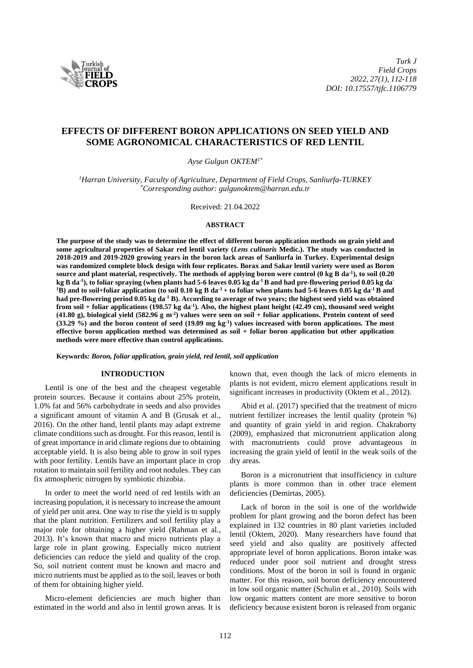

# **EFFECTS OF DIFFERENT BORON APPLICATIONS ON SEED YIELD AND SOME AGRONOMICAL CHARACTERISTICS OF RED LENTIL**

*Ayse Gulgun OKTEM1\**

*<sup>1</sup>Harran University, Faculty of Agriculture, Department of Field Crops, Sanliurfa-TURKEY \*Corresponding author: gulgunoktem@harran.edu.tr*

Received: 21.04.2022

#### **ABSTRACT**

**The purpose of the study was to determine the effect of different boron application methods on grain yield and some agricultural properties of Sakar red lentil variety (***Lens culinaris* **Medic.). The study was conducted in 2018-2019 and 2019-2020 growing years in the boron lack areas of Sanliurfa in Turkey. Experimental design was randomized complete block design with four replicates. Borax and Sakar lentil variety were used as Boron source and plant material, respectively. The methods of applying boron were control (0 kg B da -1 ), to soil (0.20 kg B da-1 ), to foliar spraying (when plants had 5-6 leaves 0.05 kg da-1B and had pre-flowering period 0.05 kg da-** $1\overline{B}$ ) and to soil+foliar application (to soil 0.10 kg B da<sup>-1</sup> + to foliar when plants had 5-6 leaves 0.05 kg da<sup>-1</sup> B and **had pre-flowering period 0.05 kg da-1 B). According to average of two years; the highest seed yield was obtained from soil + foliar applications (198.57 kg da-1 ). Also, the highest plant height (42.49 cm), thousand seed weight (41.80 g), biological yield (582.96 g m-2 ) values were seen on soil + foliar applications. Protein content of seed (33.29 %) and the boron content of seed (19.09 mg kg-1 ) values increased with boron applications. The most effective boron application method was determined as soil + foliar boron application but other application methods were more effective than control applications.**

**Keywords***: Boron, foliar application, grain yield, red lentil, soil application* 

#### **INTRODUCTION**

Lentil is one of the best and the cheapest vegetable protein sources. Because it contains about 25% protein, 1.0% fat and 56% carbohydrate in seeds and also provides a significant amount of vitamin A and B (Grusak et al., 2016). On the other hand, lentil plants may adapt extreme climate conditions such as drought. For this reason, lentil is of great importance in arid climate regions due to obtaining acceptable yield. It is also being able to grow in soil types with poor fertility. Lentils have an important place in crop rotation to maintain soil fertility and root nodules. They can fix atmospheric nitrogen by symbiotic rhizobia.

In order to meet the world need of red lentils with an increasing population, it is necessary to increase the amount of yield per unit area. One way to rise the yield is to supply that the plant nutrition. Fertilizers and soil fertility play a major role for obtaining a higher yield (Rahman et al., 2013). It's known that macro and micro nutrients play a large role in plant growing. Especially micro nutrient deficiencies can reduce the yield and quality of the crop. So, soil nutrient content must be known and macro and micro nutrients must be applied as to the soil, leaves or both of them for obtaining higher yield.

Micro-element deficiencies are much higher than estimated in the world and also in lentil grown areas. It is known that, even though the lack of micro elements in plants is not evident, micro element applications result in significant increases in productivity (Oktem et al., 2012).

Abid et al. (2017) specified that the treatment of micro nutrient fertilizer increases the lentil quality (protein %) and quantity of grain yield in arid region. Chakraborty (2009), emphasized that micronutrient application along with macronutrients could prove advantageous in increasing the grain yield of lentil in the weak soils of the dry areas.

Boron is a micronutrient that insufficiency in culture plants is more common than in other trace element deficiencies (Demirtas, 2005).

Lack of boron in the soil is one of the worldwide problem for plant growing and the boron defect has been explained in 132 countries in 80 plant varieties included lentil (Oktem, 2020). Many researchers have found that seed yield and also quality are positively affected appropriate level of boron applications. Boron intake was reduced under poor soil nutrient and drought stress conditions. Most of the boron in soil is found in organic matter. For this reason, soil boron deficiency encountered in low soil organic matter (Schulin et al., 2010). Soils with low organic matters content are more sensitive to boron deficiency because existent boron is released from organic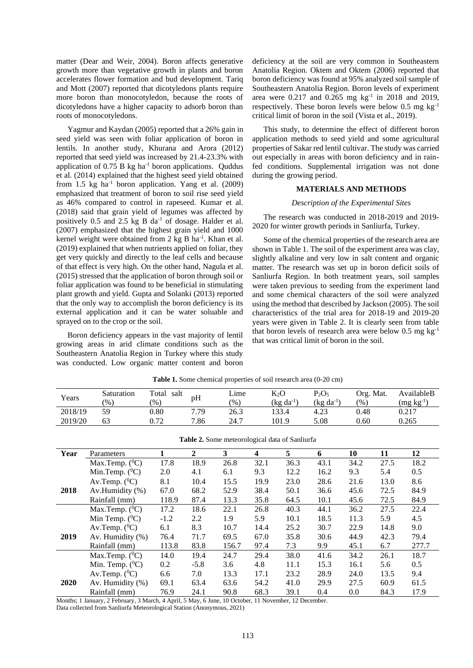matter (Dear and Weir, 2004). Boron affects generative growth more than vegetative growth in plants and boron accelerates flower formation and bud development. Tariq and Mott (2007) reported that dicotyledons plants require more boron than monocotyledon, because the roots of dicotyledons have a higher capacity to adsorb boron than roots of monocotyledons.

Yagmur and Kaydan (2005) reported that a 26% gain in seed yield was seen with foliar application of boron in lentils. In another study, Khurana and Arora (2012) reported that seed yield was increased by 21.4-23.3% with application of  $0.75$  B kg ha<sup>-1</sup> boron applications. Quddus et al. (2014) explained that the highest seed yield obtained from 1.5 kg ha<sup>-1</sup> boron application. Yang et al.  $(2009)$ emphasized that treatment of boron to soil rise seed yield as 46% compared to control in rapeseed. Kumar et al. (2018) said that grain yield of legumes was affected by positively 0.5 and 2.5 kg B da<sup>-1</sup> of dosage. Halder et al. (2007) emphasized that the highest grain yield and 1000 kernel weight were obtained from 2 kg B ha<sup>-1</sup>. Khan et al. (2019) explained that when nutrients applied on foliar, they get very quickly and directly to the leaf cells and because of that effect is very high. On the other hand, Nagula et al. (2015) stressed that the application of boron through soil or foliar application was found to be beneficial in stimulating plant growth and yield. Gupta and Solanki (2013) reported that the only way to accomplish the boron deficiency is its external application and it can be water soluable and sprayed on to the crop or the soil.

Boron deficiency appears in the vast majority of lentil growing areas in arid climate conditions such as the Southeastern Anatolia Region in Turkey where this study was conducted. Low organic matter content and boron deficiency at the soil are very common in Southeastern Anatolia Region. Oktem and Oktem (2006) reported that boron deficiency was found at 95% analyzed soil sample of Southeastern Anatolia Region. Boron levels of experiment area were  $0.217$  and  $0.265$  mg  $kg^{-1}$  in 2018 and 2019, respectively. These boron levels were below  $0.5 \text{ mg kg}^{-1}$ critical limit of boron in the soil (Vista et al., 2019).

This study, to determine the effect of different boron application methods to seed yield and some agricultural properties of Sakar red lentil cultivar. The study was carried out especially in areas with boron deficiency and in rainfed conditions. Supplemental irrigation was not done during the growing period.

# **MATERIALS AND METHODS**

#### *Description of the Experimental Sites*

The research was conducted in 2018-2019 and 2019- 2020 for winter growth periods in Sanliurfa, Turkey.

Some of the chemical properties of the research area are shown in Table 1. The soil of the experiment area was clay, slightly alkaline and very low in salt content and organic matter. The research was set up in boron deficit soils of Sanliurfa Region. In both treatment years, soil samples were taken previous to seeding from the experiment land and some chemical characters of the soil were analyzed using the method that described by Jackson (2005). The soil characteristics of the trial area for 2018-19 and 2019-20 years were given in Table 2. It is clearly seen from table that boron levels of research area were below  $0.5 \text{ mg kg}^{-1}$ that was critical limit of boron in the soil.

| Years   | Saturation    | Total<br>salt |      | Lime | $K_2O$         | $P_2O_5$       | Org. Mat. | AvailableB     |
|---------|---------------|---------------|------|------|----------------|----------------|-----------|----------------|
|         | $\frac{9}{6}$ | $\frac{9}{6}$ | pН   | (96) | $(kg da^{-1})$ | $(kg da^{-1})$ | (96)      | $(mg kg^{-1})$ |
| 2018/19 | 59            | 0.80          | 7.79 | 26.3 | 133.4          | 4.23           | 0.48      | 0.217          |
| 2019/20 | 63            | 0.72          | 7.86 | 24.7 | 101.9          | 5.08           | 0.60      | 0.265          |

**Table 2.** Some meteorological data of Sanliurfa

**Table 1.** Some chemical properties of soil research area (0-20 cm)

| 10   | 11   | 12    |
|------|------|-------|
| 34.2 | 27.5 | 18.2  |
| 9.3  | 5.4  | 0.5   |
| 21.6 | 13.0 | 8.6   |
| 45.6 | 72.5 | 84.9  |
| 45.6 | 72.5 | 84.9  |
| 36.2 | 27.5 | 22.4  |
| 11.3 | 5.9  | 4.5   |
| 22.9 | 14.8 | 9.0   |
| 44.9 | 42.3 | 79.4  |
| 45.1 | 6.7  | 277.7 |
| 34.2 | 26.1 | 18.7  |
| 16.1 | 5.6  | 0.5   |
| 24.0 | 13.5 | 9.4   |
| 27.5 | 60.9 | 61.5  |
| 0.0  | 84.3 | 17.9  |
|      |      |       |

Months; 1 January, 2 February, 3 March, 4 April, 5 May, 6 June, 10 October, 11 November, 12 December. Data collected from Sanliurfa Meteorological Station (Anonymous, 2021)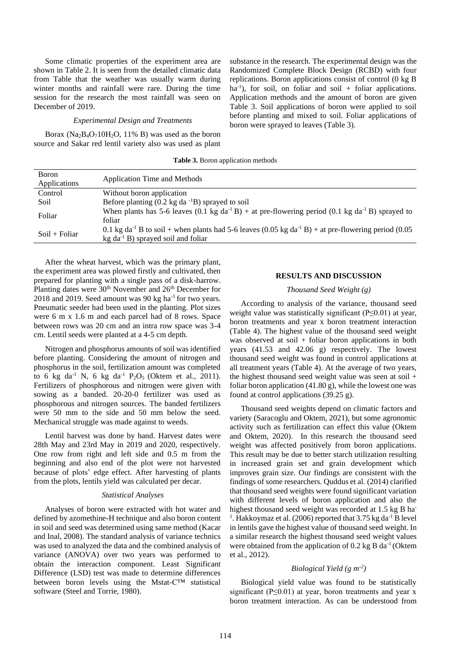Some climatic properties of the experiment area are shown in Table 2. It is seen from the detailed climatic data from Table that the weather was usually warm during winter months and rainfall were rare. During the time session for the research the most rainfall was seen on December of 2019.

#### *Experimental Design and Treatments*

Borax ( $Na<sub>2</sub>B<sub>4</sub>O<sub>7</sub>10H<sub>2</sub>O$ , 11% B) was used as the boron source and Sakar red lentil variety also was used as plant

substance in the research. The experimental design was the Randomized Complete Block Design (RCBD) with four replications. Boron applications consist of control (0 kg B  $ha^{-1}$ ), for soil, on foliar and soil + foliar applications. Application methods and the amount of boron are given Table 3. Soil applications of boron were applied to soil before planting and mixed to soil. Foliar applications of boron were sprayed to leaves (Table 3).

| Table 3. Boron application methods |  |  |
|------------------------------------|--|--|
|------------------------------------|--|--|

| Boron<br>Applications | Application Time and Methods                                                                                                                                            |
|-----------------------|-------------------------------------------------------------------------------------------------------------------------------------------------------------------------|
| Control               | Without boron application                                                                                                                                               |
| Soil                  | Before planting $(0.2 \text{ kg da}^{-1}B)$ sprayed to soil                                                                                                             |
| Foliar                | When plants has 5-6 leaves (0.1 kg da <sup>-1</sup> B) + at pre-flowering period (0.1 kg da <sup>-1</sup> B) sprayed to<br>foliar                                       |
| $Soil + Foliar$       | 0.1 kg da <sup>-1</sup> B to soil + when plants had 5-6 leaves (0.05 kg da <sup>-1</sup> B) + at pre-flowering period (0.05<br>$kg da^{-1} B$ ) sprayed soil and foliar |

After the wheat harvest, which was the primary plant, the experiment area was plowed firstly and cultivated, then prepared for planting with a single pass of a disk-harrow. Planting dates were  $30<sup>th</sup>$  November and  $26<sup>th</sup>$  December for 2018 and 2019. Seed amount was 90 kg ha<sup>-1</sup> for two years. Pneumatic seeder had been used in the planting. Plot sizes were 6 m x 1.6 m and each parcel had of 8 rows. Space between rows was 20 cm and an intra row space was 3-4 cm. Lentil seeds were planted at a 4-5 cm depth.

Nitrogen and phosphorus amounts of soil was identified before planting. Considering the amount of nitrogen and phosphorus in the soil, fertilization amount was completed to 6 kg da<sup>-1</sup> N, 6 kg da<sup>-1</sup> P<sub>2</sub>O<sub>5</sub> (Oktem et al., 2011). Fertilizers of phosphorous and nitrogen were given with sowing as a banded. 20-20-0 fertilizer was used as phosphorous and nitrogen sources. The banded fertilizers were 50 mm to the side and 50 mm below the seed. Mechanical struggle was made against to weeds.

Lentil harvest was done by hand. Harvest dates were 28th May and 23rd May in 2019 and 2020, respectively. One row from right and left side and 0.5 m from the beginning and also end of the plot were not harvested because of plots' edge effect. After harvesting of plants from the plots, lentils yield was calculated per decar.

#### *Statistical Analyses*

Analyses of boron were extracted with hot water and defined by azomethine-H technique and also boron content in soil and seed was determined using same method (Kacar and Inal, 2008). The standard analysis of variance technics was used to analyzed the data and the combined analysis of variance (ANOVA) over two years was performed to obtain the interaction component. Least Significant Difference (LSD) test was made to determine differences between boron levels using the Mstat-C™ statistical software (Steel and Torrie, 1980).

### **RESULTS AND DISCUSSION**

# *Thousand Seed Weight (g)*

According to analysis of the variance, thousand seed weight value was statistically significant (P≤0.01) at year, boron treatments and year x boron treatment interaction (Table 4). The highest value of the thousand seed weight was observed at soil  $+$  foliar boron applications in both years (41.53 and 42.06 g) respectively. The lowest thousand seed weight was found in control applications at all treatment years (Table 4). At the average of two years, the highest thousand seed weight value was seen at soil + foliar boron application (41.80 g), while the lowest one was found at control applications (39.25 g).

Thousand seed weights depend on climatic factors and variety (Saracoglu and Oktem, 2021), but some agronomic activity such as fertilization can effect this value (Oktem and Oktem, 2020). In this research the thousand seed weight was affected positively from boron applications. This result may be due to better starch utilization resulting in increased grain set and grain development which improves grain size. Our findings are consistent with the findings of some researchers. Quddus et al. (2014) clarified that thousand seed weights were found significant variation with different levels of boron application and also the highest thousand seed weight was recorded at 1.5 kg B ha-<sup>1</sup>. Hakkoymaz et al. (2006) reported that 3.75 kg da<sup>-1</sup> B level in lentils gave the highest value of thousand seed weight. In a similar research the highest thousand seed weight values were obtained from the application of  $0.2$  kg B da<sup>-1</sup> (Oktem et al., 2012).

# *Biological Yield (g m-2 )*

Biological yield value was found to be statistically significant ( $P \le 0.01$ ) at year, boron treatments and year x boron treatment interaction. As can be understood from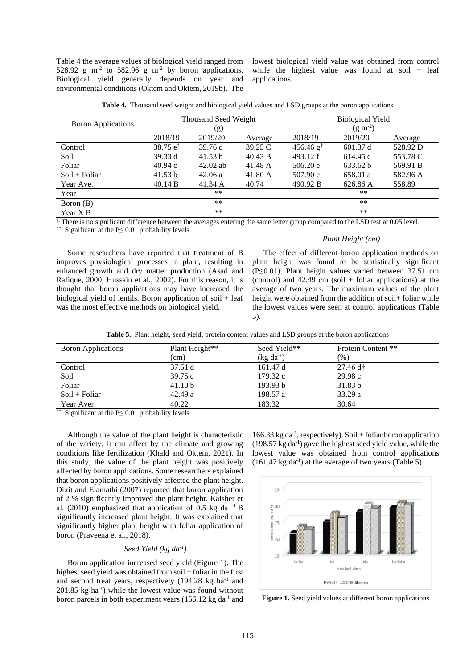Table 4 the average values of biological yield ranged from 528.92 g m<sup>-2</sup> to 582.96 g m<sup>-2</sup> by boron applications. Biological yield generally depends on year and environmental conditions (Oktem and Oktem, 2019b). The lowest biological yield value was obtained from control while the highest value was found at soil + leaf applications.

| Table 4. Thousand seed weight and biological yield values and LSD groups at the boron applications |
|----------------------------------------------------------------------------------------------------|
|----------------------------------------------------------------------------------------------------|

|                           |                     | <b>Thousand Seed Weight</b> |         | <b>Biological Yield</b> |              |          |
|---------------------------|---------------------|-----------------------------|---------|-------------------------|--------------|----------|
| <b>Boron Applications</b> |                     | (g)                         |         |                         | $(g m^{-2})$ |          |
|                           | 2018/19             | 2019/20                     | Average | 2018/19                 | 2019/20      | Average  |
| Control                   | 38.75 $e^{\dagger}$ | 39.76d                      | 39.25 C | $456.46$ g <sup>†</sup> | 601.37 d     | 528.92 D |
| Soil                      | 39.33 d             | 41.53 b                     | 40.43 B | 493.12 f                | 614.45 c     | 553.78 C |
| Foliar                    | 40.94c              | $42.02$ ab                  | 41.48 A | 506.20 e                | 633.62 b     | 569.91 B |
| $Soil + Foliar$           | 41.53 b             | 42.06a                      | 41.80 A | 507.90 e                | 658.01 a     | 582.96 A |
| Year Ave.                 | 40.14 B             | 41.34 A                     | 40.74   | 490.92 B                | 626.86 A     | 558.89   |
| Year                      |                     | **                          |         |                         | **           |          |
| Boron (B)                 |                     | $***$                       |         |                         | $**$         |          |
| Year X B                  |                     | **                          |         |                         | $***$        |          |

<sup>†</sup>: There is no significant difference between the averages entering the same letter group compared to the LSD test at 0.05 level.

\*\*: Significant at the P≤ 0.01 probability levels

Some researchers have reported that treatment of B improves physiological processes in plant, resulting in enhanced growth and dry matter production (Asad and Rafique, 2000; Hussain et al., 2002). For this reason, it is thought that boron applications may have increased the biological yield of lentils. Boron application of soil + leaf was the most effective methods on biological yield.

The effect of different boron application methods on plant height was found to be statistically significant (P≤0.01). Plant height values varied between 37.51 cm (control) and  $42.49$  cm (soil + foliar applications) at the average of two years. The maximum values of the plant height were obtained from the addition of soil+ foliar while the lowest values were seen at control applications (Table 5).

*Plant Height (cm)*

|  |  |  |  |  | <b>Table 5.</b> Plant height, seed yield, protein content values and LSD groups at the boron applications |  |
|--|--|--|--|--|-----------------------------------------------------------------------------------------------------------|--|
|--|--|--|--|--|-----------------------------------------------------------------------------------------------------------|--|

| <b>Boron Applications</b> | Plant Height**     | Seed Yield**   | Protein Content **          |
|---------------------------|--------------------|----------------|-----------------------------|
|                           | (cm)               | $(kg da^{-1})$ | $(\%)$                      |
| Control                   | 37.51 d            | 161.47 d       | $27.46 \text{ d}^{\dagger}$ |
| Soil                      | 39.75c             | 179.32c        | 29.98c                      |
| Foliar                    | 41.10 <sub>b</sub> | 193.93 b       | 31.83 <sub>b</sub>          |
| $Soil + Foliar$           | 42.49a             | 198.57 a       | 33.29a                      |
| Year Aver.                | 40.22              | 183.32         | 30.64                       |

\*\*: Significant at the P≤ 0.01 probability levels

Although the value of the plant height is characteristic of the variety, it can affect by the climate and growing conditions like fertilization (Khald and Oktem, 2021). In this study, the value of the plant height was positively affected by boron applications. Some researchers explained that boron applications positively affected the plant height. Dixit and Elamathi (2007) reported that boron application of 2 % significantly improved the plant height. Kaisher et al. (2010) emphasized that application of 0.5 kg da  $^{-1}$  B significantly increased plant height. It was explained that significantly higher plant height with foliar application of boron (Praveena et al., 2018).

# *Seed Yield (kg da-1 )*

Boron application increased seed yield (Figure 1). The highest seed yield was obtained from soil + foliar in the first and second treat years, respectively  $(194.28 \text{ kg} \text{ ha}^{-1})$  and 201.85 kg ha-1 ) while the lowest value was found without boron parcels in both experiment years  $(156.12 \text{ kg da}^{-1})$  and

 $166.33$  kg da<sup>-1</sup>, respectively). Soil + foliar boron application (198.57 kg da-1 ) gave the highest seed yield value, while the lowest value was obtained from control applications  $(161.47 \text{ kg da}^{-1})$  at the average of two years (Table 5).



**Figure 1.** Seed yield values at different boron applications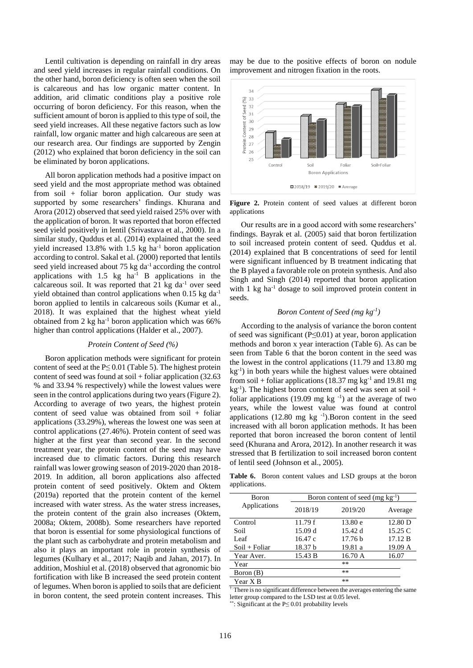Lentil cultivation is depending on rainfall in dry areas and seed yield increases in regular rainfall conditions. On the other hand, boron deficiency is often seen when the soil is calcareous and has low organic matter content. In addition, arid climatic conditions play a positive role occurring of boron deficiency. For this reason, when the sufficient amount of boron is applied to this type of soil, the seed yield increases. All these negative factors such as low rainfall, low organic matter and high calcareous are seen at our research area. Our findings are supported by Zengin (2012) who explained that boron deficiency in the soil can be eliminated by boron applications.

All boron application methods had a positive impact on seed yield and the most appropriate method was obtained from soil + foliar boron application. Our study was supported by some researchers' findings. Khurana and Arora (2012) observed that seed yield raised 25% over with the application of boron. It was reported that boron effected seed yield positively in lentil (Srivastava et al., 2000). In a similar study, Quddus et al. (2014) explained that the seed yield increased 13.8% with 1.5 kg ha<sup>-1</sup> boron application according to control. Sakal et al. (2000) reported that lentils seed yield increased about 75 kg  $da^{-1}$  according the control applications with  $1.5$  kg  $ha^{-1}$  B applications in the calcareous soil. It was reported that  $21 \text{ kg}$  da<sup>-1</sup> over seed yield obtained than control applications when  $0.15 \text{ kg da}^{-1}$ boron applied to lentils in calcareous soils (Kumar et al., 2018). It was explained that the highest wheat yield obtained from 2 kg ha<sup>-1</sup> boron application which was 66% higher than control applications (Halder et al., 2007).

### *Protein Content of Seed (%)*

Boron application methods were significant for protein content of seed at the  $P \le 0.01$  (Table 5). The highest protein content of seed was found at soil + foliar application  $(32.63)$ % and 33.94 % respectively) while the lowest values were seen in the control applications during two years (Figure 2). According to average of two years, the highest protein content of seed value was obtained from soil + foliar applications (33.29%), whereas the lowest one was seen at control applications (27.46%). Protein content of seed was higher at the first year than second year. In the second treatment year, the protein content of the seed may have increased due to climatic factors. During this research rainfall was lower growing season of 2019-2020 than 2018- 2019. In addition, all boron applications also affected protein content of seed positively. Oktem and Oktem (2019a) reported that the protein content of the kernel increased with water stress. As the water stress increases, the protein content of the grain also increases (Oktem, 2008a; Oktem, 2008b). Some researchers have reported that boron is essential for some physiological functions of the plant such as carbohydrate and protein metabolism and also it plays an important role in protein synthesis of legumes (Kulhary et al., 2017; Naqib and Jahan, 2017). In addition, Moshiul et al. (2018) observed that agronomic bio fortification with like B increased the seed protein content of legumes. When boron is applied to soils that are deficient in boron content, the seed protein content increases. This

may be due to the positive effects of boron on nodule improvement and nitrogen fixation in the roots.



**Figure 2.** Protein content of seed values at different boron applications

Our results are in a good accord with some researchers' findings. Bayrak et al. (2005) said that boron fertilization to soil increased protein content of seed. Quddus et al. (2014) explained that B concentrations of seed for lentil were significant influenced by B treatment indicating that the B played a favorable role on protein synthesis. And also Singh and Singh (2014) reported that boron application with  $1 \text{ kg } ha^{-1}$  dosage to soil improved protein content in seeds.

# *Boron Content of Seed (mg kg-1 )*

According to the analysis of variance the boron content of seed was significant (P≤0.01) at year, boron application methods and boron x year interaction (Table 6). As can be seen from Table 6 that the boron content in the seed was the lowest in the control applications (11.79 and 13.80 mg kg-1 ) in both years while the highest values were obtained from soil + foliar applications (18.37 mg kg<sup>-1</sup> and 19.81 mg  $kg^{-1}$ ). The highest boron content of seed was seen at soil + foliar applications (19.09 mg kg $^{-1}$ ) at the average of two years, while the lowest value was found at control applications  $(12.80 \text{ mg kg}^{-1})$ . Boron content in the seed increased with all boron application methods. It has been reported that boron increased the boron content of lentil seed (Khurana and Arora, 2012). In another research it was stressed that B fertilization to soil increased boron content of lentil seed (Johnson et al., 2005).

**Table 6.** Boron content values and LSD groups at the boron applications.

| Boron           | Boron content of seed (mg $kg^{-1}$ ) |                    |         |  |  |  |
|-----------------|---------------------------------------|--------------------|---------|--|--|--|
| Applications    | 2018/19                               | 2019/20            | Average |  |  |  |
| Control         | 11.79f                                | 13.80 e            | 12.80 D |  |  |  |
| Soil            | 15.09 d                               | 15.42 d            | 15.25 C |  |  |  |
| Leaf            | 16.47c                                | 17.76 <sub>b</sub> | 17.12 B |  |  |  |
| $Soil + Foliar$ | 18.37 b                               | 19.81 a            | 19.09 A |  |  |  |
| Year Aver.      | 15.43 B                               | 16.70 A            | 16.07   |  |  |  |
| Year            |                                       | $***$              |         |  |  |  |
| Boron (B)       |                                       | **                 |         |  |  |  |
| Year X B        |                                       | **                 |         |  |  |  |

<sup>†:</sup> There is no significant difference between the averages entering the same letter group compared to the LSD test at 0.05 level.

\*\*: Significant at the P≤ 0.01 probability levels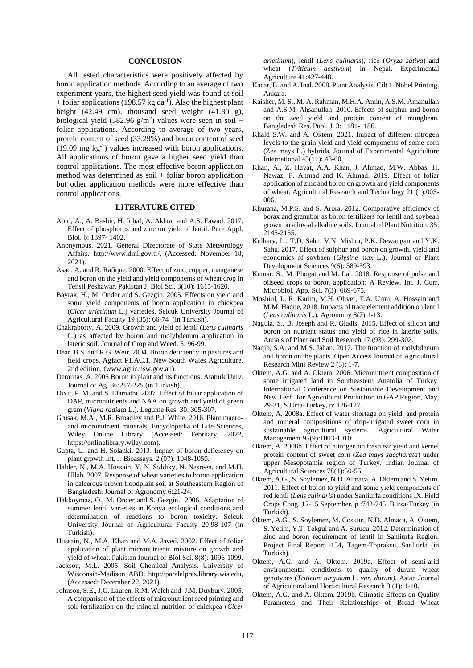#### **CONCLUSION**

All tested characteristics were positively affected by boron application methods. According to an average of two experiment years, the highest seed yield was found at soil + foliar applications (198.57 kg da<sup>-1</sup>). Also the highest plant height (42.49 cm), thousand seed weight (41.80 g), biological yield  $(582.96 \text{ g/m}^2)$  values were seen in soil + foliar applications. According to average of two years, protein content of seed (33.29%) and boron content of seed (19.09 mg kg-1 ) values increased with boron applications. All applications of boron gave a higher seed yield than control applications. The most effective boron application method was determined as soil + foliar boron application but other application methods were more effective than control applications.

# **LITERATURE CITED**

- Abid, A., A. Bashir, H. Iqbal, A. Akhtar and A.S. Fawad. 2017. Effect of phosphorus and zinc on yield of lentil. Pure Appl. Biol. 6: 1397- 1402.
- Anonymous. 2021. General Directorate of State Meteorology Affairs. http:/[/www.dmi.gov.tr/](http://www.dmi.gov.tr/), (Accessed: November 18, 2021).
- Asad, A. and R. Rafique. 2000. Effect of zinc, copper, manganese and boron on the yield and yield components of wheat crop in Tehsil Peshawar. Pakistan J. Biol Sci. 3(10): 1615-1620.
- Bayrak, H., M. Onder and S. Gezgin. 2005. Effects on yield and some yield components of boron application in chickpea (*Cicer arietinum* L.) varieties. Selcuk University Journal of Agricultural Faculty 19 (35): 66-74 (in Turkish).
- Chakraborty, A. 2009. Growth and yield of lentil (*Lens culinaris* L.) as affected by boron and molybdenum application in lateric soil. Journal of Crop and Weed. 5: 96-99.
- Dear, B.S. and R.G. Weir. 2004. Boron deficiency in pastures and field crops. Agfact P1.AC.1, New South Wales Agriculture. 2nd edition. [\(www.agric.nsw.gov.au\)](http://www.agric.nsw.gov.au/).
- Demirtas, A. 2005.Boron in plant and its functions. Ataturk Univ. Journal of Ag. 36:217-225 (in Turkish).
- Dixit, P. M. and S. Elamathi. 2007. Effect of foliar application of DAP, micronutrients and NAA on growth and yield of green gram (*Vigna radiata* L.). Legume Res. 30: 305-307.
- Grusak, M.A., M.R. Broadley and P.J. White. 2016. Plant macroand micronutrient minerals. Encyclopedia of Life Sciences, Wiley Online Library (Accessed: February, 2022, [https://onlinelibrary.wiley.com\)](https://onlinelibrary.wiley.com/).
- Gupta, U. and H. Solanki. 2013. Impact of boron defıcıency on plant growth Int. J. Bioassays. 2 (07): 1048-1050.
- Halder, N., M.A. Hossain, Y. N. Sıddıky, N. Nasreen, and M.H. Ullah. 2007. Response of wheat varieties to boron application in calcerous brown floodplain soil at Southeastern Region of Bangladesh. Journal of Agronomy 6:21-24.
- Hakkoymaz, O., M. Onder and S. Gezgin. 2006. Adaptation of summer lentil varieties in Konya ecological conditions and determination of reactions to boron toxicity. Selcuk University Journal of Agricultural Faculty 20:98-107 (in Turkish).
- Hussain, N., M.A. Khan and M.A. Javed. 2002. Effect of foliar application of plant micronutrients mixture on growth and yield of wheat. Pakistan Journal of Biol Sci. 8(8): 1096-1099.
- Jackson, M.L. 2005. Soil Chemical Analysis. University of Wisconsin-Madison ABD. [http://paralelpres.library.wis.edu,](http://paralelpres.library.wis.edu/) (Accessed: December 22, 2021).
- [Johnson,](https://www.cambridge.org/core/search?filters%5BauthorTerms%5D=S.%20E.%20JOHNSON&eventCode=SE-AU) S.E., J.G. Lauren[, R.M.](https://www.cambridge.org/core/search?filters%5BauthorTerms%5D=R.%20M.%20WELCH&eventCode=SE-AU) Welch and [J.M.](https://www.cambridge.org/core/search?filters%5BauthorTerms%5D=J.%20M.%20DUXBURY&eventCode=SE-AU) Duxbury. 2005. A comparison of the effects of micronutrient seed priming and soil fertilization on the mineral nutrition of chickpea (*Cicer*

*arietinum*), lentil (*Lens culinaris*), rice (*Oryza sativa*) and wheat (*Triticum aestivum*) in Nepal. Experimental Agriculture 41:427-448.

- Kacar, B. and A. Inal. 2008. Plant Analysis. Cilt 1. Nobel Printing. Ankara.
- Kaisher, M. S., M. A. Rahman, M.H.A. Amin, A.S.M. Amanullah and A.S.M. Ahsanullah. 2010. Effects of sulphur and boron on the seed yield and protein content of mungbean. Bangladesh Res. Publ. J. 3: 1181-1186.
- Khald S.W. and A. Oktem. 2021. Impact of different nitrogen levels to the grain yield and yield components of some corn (Zea mays L.) hybrids. Journal of Experimental Agriculture International 43(11): 48-60.
- Khan, A., Z. Hayat, A.A. Khan, J. Ahmad, M.W. Abbas, H. Nawaz, F. Ahmad and K. Ahmad. 2019. Effect of foliar application of zinc and boron on growth and yield components of wheat. Agricultural Research and Technology 21 (1):003- 006.
- Khurana, M.P.S. and S. Arora. 2012. Comparative efficiency of borax and granubor as boron fertilizers for lentil and soybean grown on alluvial alkaline soils. Journal of Plant Nutrition. 35: 2145-2155.
- Kulhary, L., T.D. Sahu, V.N. Mishra, P.K. Dewangan and Y.K. Sahu. 2017. Effect of sulphur and boron on growth, yield and economics of soybaen (*Glysine max* L.). Journal of Plant Development Sciences 9(6): 589-593.
- Kumar, S., M. Phogat and M. Lal. 2018. Response of pulse and oilseed crops to boron application: A Review. Int. J. Curr. Microbiol. App. Sci. 7(3): 669-675.
- Moshiul, I., R. Karim, M.H. Oliver, T.A. Urmi, A. Hossain and M.M. Haque, 2018. Impacts of trace element addition on lentil (*Lens culinaris* L.). Agronomy 8(7):1-13.
- Nagula, S., B. Joseph and R. Gladis. 2015. Effect of silicon and boron on nutrient status and yield of rice in laterite soils. Annals of Plant and Soil Research 17 (93): 299-302.
- Naqib, S.A. and M.S. Jahan. 2017. The function of molybdenum and boron on the plants. Open Access Journal of Agricultural Research Mini Review 2 (3): 1-7.
- Oktem, A.G. and A. Oktem. 2006. Micronutrient composition of some irrigated land in Southeastern Anatolia of Turkey. International Conference on Sustainable Development and New Tech. for Agricultural Production in GAP Region, May, 29-31, S.Urfa-Turkey, p: 126-127.
- Oktem, A. 2008a. Effect of water shortage on yield, and protein and mineral compositions of drip-irrigated sweet corn in sustainable agricultural systems. Agricultural Water Management 95(9):1003-1010.
- Oktem, A. 2008b[. Effect of nitrogen on fresh ear yield and kernel](javascript:submit_form())  [protein content of sweet corn \(](javascript:submit_form())*Zea mays saccharata*) under [upper Mesopotamia region of Turkey.](javascript:submit_form()) Indian Journal of Agricultural Sciences 78(1):50-55.
- Oktem, A.G., S. Soylemez, N.D. Almaca, A. Oktem and S. Yetim. 2011. Effect of boron to yield and some yıeld components of red lentil (*Lens culinaris*) under Sanliurfa conditions IX. Field Crops Cong. 12-15 September. p :742-745. Bursa-Turkey (in Turkish).
- Oktem, A.G., S. Soylemez, M. Coskun, N.D. Almaca, A. Oktem, S. Yetim, Y.T. Tekgul and A. Surucu. 2012. Determination of zinc and boron requirement of lentil in Sanliurfa Region. Project Final Report -134, Tagem-Topraksu, Sanliurfa (in Turkish).
- Oktem, A.G. and A. Oktem. 2019a. Effect of semi-arid environmental conditions to quality of durum wheat genotypes (*Triticum turgidum* L. *var. durum).* Asian Journal of Agricultural and Horticultural Research 3 (1): 1-10.
- Oktem, A.G. and A. Oktem. 2019b. Climatic Effects on Quality Parameters and Their Relationships of Bread Wheat